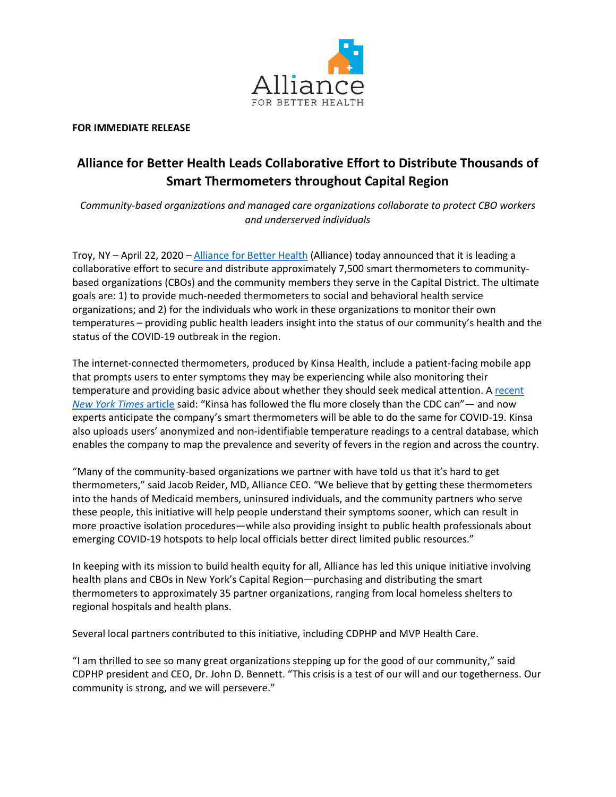

**FOR IMMEDIATE RELEASE**

## **Alliance for Better Health Leads Collaborative Effort to Distribute Thousands of Smart Thermometers throughout Capital Region**

*Community-based organizations and managed care organizations collaborate to protect CBO workers and underserved individuals*

Troy, NY – April 22, 2020 – [Alliance for Better Health](https://abhealth.us/) (Alliance) today announced that it is leading a collaborative effort to secure and distribute approximately 7,500 smart thermometers to communitybased organizations (CBOs) and the community members they serve in the Capital District. The ultimate goals are: 1) to provide much-needed thermometers to social and behavioral health service organizations; and 2) for the individuals who work in these organizations to monitor their own temperatures – providing public health leaders insight into the status of our community's health and the status of the COVID-19 outbreak in the region.

The internet-connected thermometers, produced by Kinsa Health, include a patient-facing mobile app that prompts users to enter symptoms they may be experiencing while also monitoring their temperature and providing basic advice about whether they should seek medical attention. A recent *[New York Times](https://www.nytimes.com/2020/03/18/health/coronavirus-fever-thermometers.html)* article said: "Kinsa has followed the flu more closely than the CDC can"— and now experts anticipate the company's smart thermometers will be able to do the same for COVID-19. Kinsa also uploads users' anonymized and non-identifiable temperature readings to a central database, which enables the company to map the prevalence and severity of fevers in the region and across the country.

"Many of the community-based organizations we partner with have told us that it's hard to get thermometers," said Jacob Reider, MD, Alliance CEO. "We believe that by getting these thermometers into the hands of Medicaid members, uninsured individuals, and the community partners who serve these people, this initiative will help people understand their symptoms sooner, which can result in more proactive isolation procedures―while also providing insight to public health professionals about emerging COVID-19 hotspots to help local officials better direct limited public resources."

In keeping with its mission to build health equity for all, Alliance has led this unique initiative involving health plans and CBOs in New York's Capital Region―purchasing and distributing the smart thermometers to approximately 35 partner organizations, ranging from local homeless shelters to regional hospitals and health plans.

Several local partners contributed to this initiative, including CDPHP and MVP Health Care.

"I am thrilled to see so many great organizations stepping up for the good of our community," said CDPHP president and CEO, Dr. John D. Bennett. "This crisis is a test of our will and our togetherness. Our community is strong, and we will persevere."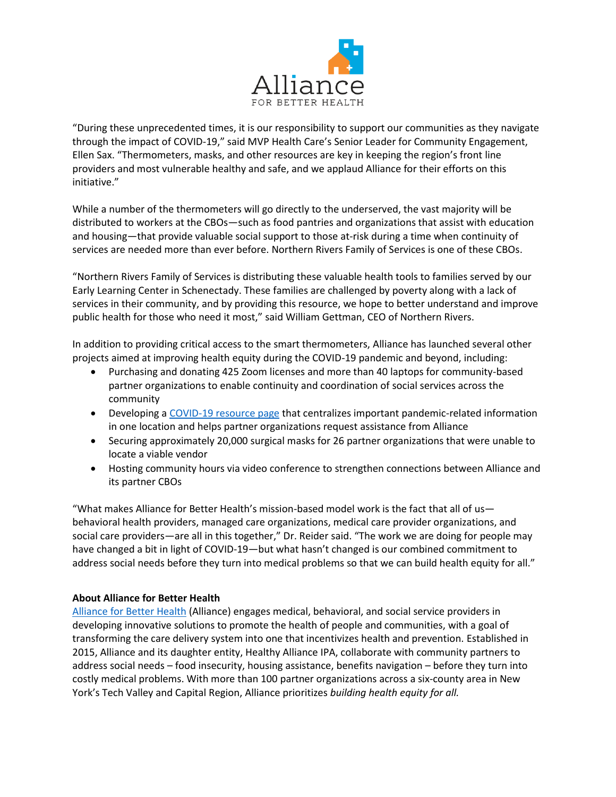

"During these unprecedented times, it is our responsibility to support our communities as they navigate through the impact of COVID-19," said MVP Health Care's Senior Leader for Community Engagement, Ellen Sax. "Thermometers, masks, and other resources are key in keeping the region's front line providers and most vulnerable healthy and safe, and we applaud Alliance for their efforts on this initiative."

While a number of the thermometers will go directly to the underserved, the vast majority will be distributed to workers at the CBOs—such as food pantries and organizations that assist with education and housing—that provide valuable social support to those at-risk during a time when continuity of services are needed more than ever before. Northern Rivers Family of Services is one of these CBOs.

"Northern Rivers Family of Services is distributing these valuable health tools to families served by our Early Learning Center in Schenectady. These families are challenged by poverty along with a lack of services in their community, and by providing this resource, we hope to better understand and improve public health for those who need it most," said William Gettman, CEO of Northern Rivers.

In addition to providing critical access to the smart thermometers, Alliance has launched several other projects aimed at improving health equity during the COVID-19 pandemic and beyond, including:

- Purchasing and donating 425 Zoom licenses and more than 40 laptops for community-based partner organizations to enable continuity and coordination of social services across the community
- Developing [a COVID-19 resource page](https://abhealth.us/covid-19-resources-and-quick-links/) that centralizes important pandemic-related information in one location and helps partner organizations request assistance from Alliance
- Securing approximately 20,000 surgical masks for 26 partner organizations that were unable to locate a viable vendor
- Hosting community hours via video conference to strengthen connections between Alliance and its partner CBOs

"What makes Alliance for Better Health's mission-based model work is the fact that all of us behavioral health providers, managed care organizations, medical care provider organizations, and social care providers—are all in this together," Dr. Reider said. "The work we are doing for people may have changed a bit in light of COVID-19—but what hasn't changed is our combined commitment to address social needs before they turn into medical problems so that we can build health equity for all."

## **About Alliance for Better Health**

[Alliance for Better Health](https://abhealth.us/) (Alliance) engages medical, behavioral, and social service providers in developing innovative solutions to promote the health of people and communities, with a goal of transforming the care delivery system into one that incentivizes health and prevention. Established in 2015, Alliance and its daughter entity, Healthy Alliance IPA, collaborate with community partners to address social needs – food insecurity, housing assistance, benefits navigation – before they turn into costly medical problems. With more than 100 partner organizations across a six-county area in New York's Tech Valley and Capital Region, Alliance prioritizes *building health equity for all.*